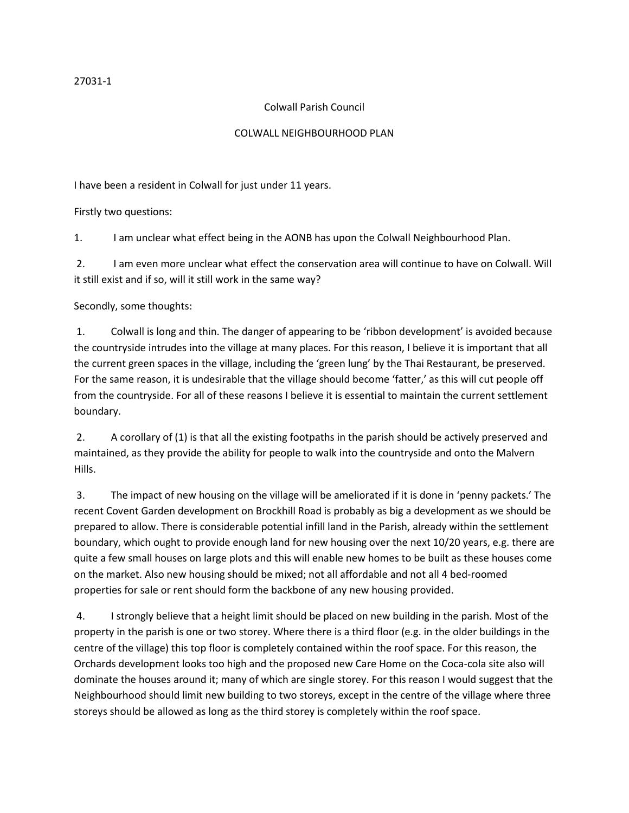## Colwall Parish Council

## COLWALL NEIGHBOURHOOD PLAN

I have been a resident in Colwall for just under 11 years.

Firstly two questions:

1. I am unclear what effect being in the AONB has upon the Colwall Neighbourhood Plan.

2. I am even more unclear what effect the conservation area will continue to have on Colwall. Will it still exist and if so, will it still work in the same way?

Secondly, some thoughts:

1. Colwall is long and thin. The danger of appearing to be 'ribbon development' is avoided because the countryside intrudes into the village at many places. For this reason, I believe it is important that all the current green spaces in the village, including the 'green lung' by the Thai Restaurant, be preserved. For the same reason, it is undesirable that the village should become 'fatter,' as this will cut people off from the countryside. For all of these reasons I believe it is essential to maintain the current settlement boundary.

2. A corollary of (1) is that all the existing footpaths in the parish should be actively preserved and maintained, as they provide the ability for people to walk into the countryside and onto the Malvern Hills.

3. The impact of new housing on the village will be ameliorated if it is done in 'penny packets.' The recent Covent Garden development on Brockhill Road is probably as big a development as we should be prepared to allow. There is considerable potential infill land in the Parish, already within the settlement boundary, which ought to provide enough land for new housing over the next 10/20 years, e.g. there are quite a few small houses on large plots and this will enable new homes to be built as these houses come on the market. Also new housing should be mixed; not all affordable and not all 4 bed-roomed properties for sale or rent should form the backbone of any new housing provided.

4. I strongly believe that a height limit should be placed on new building in the parish. Most of the property in the parish is one or two storey. Where there is a third floor (e.g. in the older buildings in the centre of the village) this top floor is completely contained within the roof space. For this reason, the Orchards development looks too high and the proposed new Care Home on the Coca-cola site also will dominate the houses around it; many of which are single storey. For this reason I would suggest that the Neighbourhood should limit new building to two storeys, except in the centre of the village where three storeys should be allowed as long as the third storey is completely within the roof space.